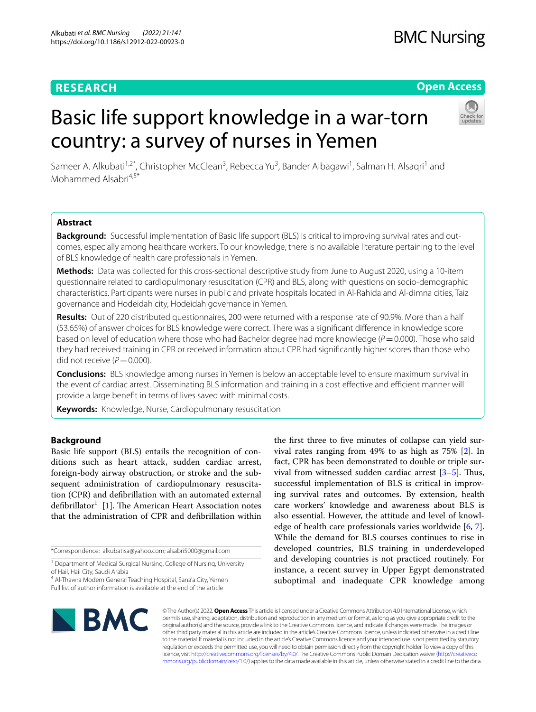# **RESEARCH**

## **Open Access**

# Basic life support knowledge in a war-torn country: a survey of nurses in Yemen



Sameer A. Alkubati<sup>1,2\*</sup>, Christopher McClean<sup>3</sup>, Rebecca Yu<sup>3</sup>, Bander Albagawi<sup>1</sup>, Salman H. Alsaqri<sup>1</sup> and Mohammed Alsabri<sup>4,5\*</sup>

## **Abstract**

**Background:** Successful implementation of Basic life support (BLS) is critical to improving survival rates and outcomes, especially among healthcare workers. To our knowledge, there is no available literature pertaining to the level of BLS knowledge of health care professionals in Yemen.

**Methods:** Data was collected for this cross-sectional descriptive study from June to August 2020, using a 10-item questionnaire related to cardiopulmonary resuscitation (CPR) and BLS, along with questions on socio-demographic characteristics. Participants were nurses in public and private hospitals located in Al-Rahida and Al-dimna cities, Taiz governance and Hodeidah city, Hodeidah governance in Yemen.

**Results:** Out of 220 distributed questionnaires, 200 were returned with a response rate of 90.9%. More than a half (53.65%) of answer choices for BLS knowledge were correct. There was a signifcant diference in knowledge score based on level of education where those who had Bachelor degree had more knowledge (*P*=0.000). Those who said they had received training in CPR or received information about CPR had signifcantly higher scores than those who did not receive  $(P=0.000)$ .

**Conclusions:** BLS knowledge among nurses in Yemen is below an acceptable level to ensure maximum survival in the event of cardiac arrest. Disseminating BLS information and training in a cost effective and efficient manner will provide a large beneft in terms of lives saved with minimal costs.

**Keywords:** Knowledge, Nurse, Cardiopulmonary resuscitation

## **Background**

Basic life support (BLS) entails the recognition of conditions such as heart attack, sudden cardiac arrest, foreign-body airway obstruction, or stroke and the subsequent administration of cardiopulmonary resuscitation (CPR) and defbrillation with an automated external defibrillator<sup>1</sup> [\[1\]](#page-5-0). The American Heart Association notes that the administration of CPR and defbrillation within

4 Al-Thawra Modern General Teaching Hospital, Sana'a City, Yemen Full list of author information is available at the end of the article

the frst three to fve minutes of collapse can yield survival rates ranging from 49% to as high as 75% [\[2](#page-5-1)]. In fact, CPR has been demonstrated to double or triple survival from witnessed sudden cardiac arrest  $[3-5]$  $[3-5]$ . Thus, successful implementation of BLS is critical in improving survival rates and outcomes. By extension, health care workers' knowledge and awareness about BLS is also essential. However, the attitude and level of knowledge of health care professionals varies worldwide  $[6, 7]$  $[6, 7]$  $[6, 7]$  $[6, 7]$ . While the demand for BLS courses continues to rise in developed countries, BLS training in underdeveloped and developing countries is not practiced routinely. For instance, a recent survey in Upper Egypt demonstrated suboptimal and inadequate CPR knowledge among



© The Author(s) 2022. **Open Access** This article is licensed under a Creative Commons Attribution 4.0 International License, which permits use, sharing, adaptation, distribution and reproduction in any medium or format, as long as you give appropriate credit to the original author(s) and the source, provide a link to the Creative Commons licence, and indicate if changes were made. The images or other third party material in this article are included in the article's Creative Commons licence, unless indicated otherwise in a credit line to the material. If material is not included in the article's Creative Commons licence and your intended use is not permitted by statutory regulation or exceeds the permitted use, you will need to obtain permission directly from the copyright holder. To view a copy of this licence, visit [http://creativecommons.org/licenses/by/4.0/.](http://creativecommons.org/licenses/by/4.0/) The Creative Commons Public Domain Dedication waiver ([http://creativeco](http://creativecommons.org/publicdomain/zero/1.0/) [mmons.org/publicdomain/zero/1.0/](http://creativecommons.org/publicdomain/zero/1.0/)) applies to the data made available in this article, unless otherwise stated in a credit line to the data.

<sup>\*</sup>Correspondence: alkubatisa@yahoo.com; alsabri5000@gmail.com

<sup>&</sup>lt;sup>1</sup> Department of Medical Surgical Nursing, College of Nursing, University of Hail, Hail City, Saudi Arabia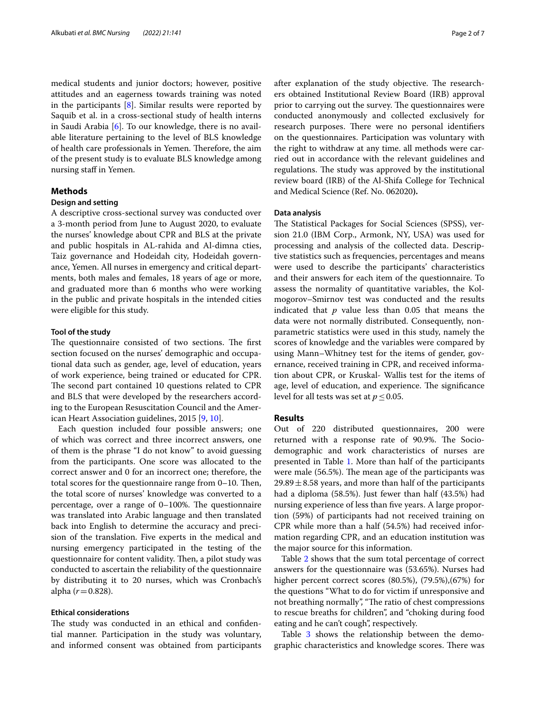medical students and junior doctors; however, positive attitudes and an eagerness towards training was noted in the participants  $[8]$  $[8]$ . Similar results were reported by Saquib et al. in a cross-sectional study of health interns in Saudi Arabia [\[6](#page-5-4)]. To our knowledge, there is no available literature pertaining to the level of BLS knowledge of health care professionals in Yemen. Therefore, the aim of the present study is to evaluate BLS knowledge among nursing staff in Yemen.

## **Methods**

## **Design and setting**

A descriptive cross-sectional survey was conducted over a 3-month period from June to August 2020, to evaluate the nurses' knowledge about CPR and BLS at the private and public hospitals in AL-rahida and Al-dimna cties, Taiz governance and Hodeidah city, Hodeidah governance, Yemen. All nurses in emergency and critical departments, both males and females, 18 years of age or more, and graduated more than 6 months who were working in the public and private hospitals in the intended cities were eligible for this study.

#### **Tool of the study**

The questionnaire consisted of two sections. The first section focused on the nurses' demographic and occupational data such as gender, age, level of education, years of work experience, being trained or educated for CPR. The second part contained 10 questions related to CPR and BLS that were developed by the researchers according to the European Resuscitation Council and the American Heart Association guidelines, 2015 [[9,](#page-5-7) [10\]](#page-5-8).

Each question included four possible answers; one of which was correct and three incorrect answers, one of them is the phrase "I do not know" to avoid guessing from the participants. One score was allocated to the correct answer and 0 for an incorrect one; therefore, the total scores for the questionnaire range from  $0-10$ . Then, the total score of nurses' knowledge was converted to a percentage, over a range of  $0-100\%$ . The questionnaire was translated into Arabic language and then translated back into English to determine the accuracy and precision of the translation. Five experts in the medical and nursing emergency participated in the testing of the questionnaire for content validity. Then, a pilot study was conducted to ascertain the reliability of the questionnaire by distributing it to 20 nurses, which was Cronbach's alpha  $(r=0.828)$ .

## **Ethical considerations**

The study was conducted in an ethical and confidential manner. Participation in the study was voluntary, and informed consent was obtained from participants after explanation of the study objective. The researchers obtained Institutional Review Board (IRB) approval prior to carrying out the survey. The questionnaires were conducted anonymously and collected exclusively for research purposes. There were no personal identifiers on the questionnaires. Participation was voluntary with the right to withdraw at any time. all methods were carried out in accordance with the relevant guidelines and regulations. The study was approved by the institutional review board (IRB) of the Al-Shifa College for Technical and Medical Science (Ref. No. 062020**).**

#### **Data analysis**

The Statistical Packages for Social Sciences (SPSS), version 21.0 (IBM Corp., Armonk, NY, USA) was used for processing and analysis of the collected data. Descriptive statistics such as frequencies, percentages and means were used to describe the participants' characteristics and their answers for each item of the questionnaire. To assess the normality of quantitative variables, the Kolmogorov–Smirnov test was conducted and the results indicated that *p* value less than 0.05 that means the data were not normally distributed. Consequently, nonparametric statistics were used in this study, namely the scores of knowledge and the variables were compared by using Mann–Whitney test for the items of gender, governance, received training in CPR, and received information about CPR, or Kruskal- Wallis test for the items of age, level of education, and experience. The significance level for all tests was set at  $p \leq 0.05$ .

## **Results**

Out of 220 distributed questionnaires, 200 were returned with a response rate of 90.9%. The Sociodemographic and work characteristics of nurses are presented in Table [1](#page-2-0). More than half of the participants were male  $(56.5\%)$ . The mean age of the participants was  $29.89 \pm 8.58$  years, and more than half of the participants had a diploma (58.5%). Just fewer than half (43.5%) had nursing experience of less than five years. A large proportion (59%) of participants had not received training on CPR while more than a half (54.5%) had received information regarding CPR, and an education institution was the major source for this information.

Table [2](#page-2-1) shows that the sum total percentage of correct answers for the questionnaire was (53.65%). Nurses had higher percent correct scores (80.5%), (79.5%),(67%) for the questions "What to do for victim if unresponsive and not breathing normally", "The ratio of chest compressions to rescue breaths for children", and "choking during food eating and he can't cough", respectively.

Table [3](#page-3-0) shows the relationship between the demographic characteristics and knowledge scores. There was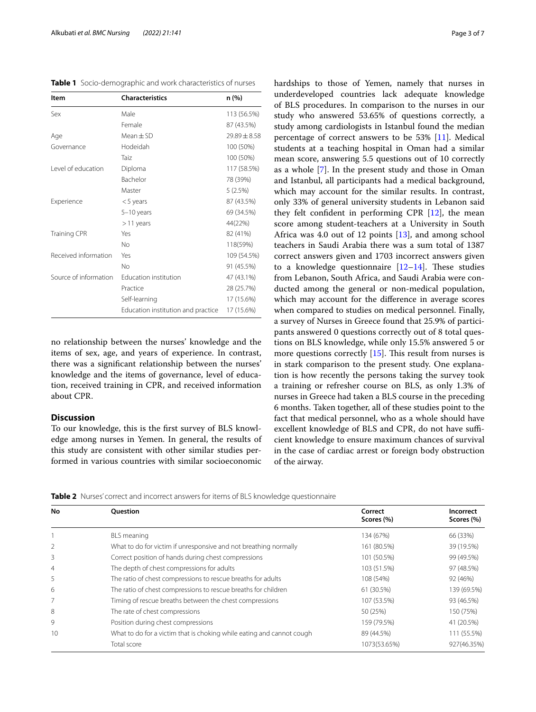<span id="page-2-0"></span>

|  | Table 1 Socio-demographic and work characteristics of nurses |  |  |
|--|--------------------------------------------------------------|--|--|
|--|--------------------------------------------------------------|--|--|

| Item                  | <b>Characteristics</b>             | n (%)          |
|-----------------------|------------------------------------|----------------|
| Sex                   | Male                               | 113 (56.5%)    |
|                       | Female                             | 87 (43.5%)     |
| Age                   | $Mean \pm SD$                      | $79.89 + 8.58$ |
| Governance            | Hodeidah                           | 100 (50%)      |
|                       | Taiz                               | 100 (50%)      |
| Level of education    | Diploma                            | 117 (58.5%)    |
|                       | Bachelor                           | 78 (39%)       |
|                       | Master                             | 5(2.5%)        |
| Experience            | $<$ 5 years                        | 87 (43.5%)     |
|                       | $5-10$ years                       | 69 (34.5%)     |
|                       | $>11$ years                        | 44(22%)        |
| <b>Training CPR</b>   | Yes                                | 82 (41%)       |
|                       | No                                 | 118(59%)       |
| Received information  | Yes                                | 109 (54.5%)    |
|                       | No                                 | 91 (45.5%)     |
| Source of information | Education institution              | 47 (43.1%)     |
|                       | Practice                           | 28 (25.7%)     |
|                       | Self-learning                      | 17 (15.6%)     |
|                       | Education institution and practice | 17 (15.6%)     |

no relationship between the nurses' knowledge and the items of sex, age, and years of experience. In contrast, there was a signifcant relationship between the nurses' knowledge and the items of governance, level of education, received training in CPR, and received information about CPR.

## **Discussion**

To our knowledge, this is the frst survey of BLS knowledge among nurses in Yemen. In general, the results of this study are consistent with other similar studies performed in various countries with similar socioeconomic hardships to those of Yemen, namely that nurses in underdeveloped countries lack adequate knowledge of BLS procedures. In comparison to the nurses in our study who answered 53.65% of questions correctly, a study among cardiologists in Istanbul found the median percentage of correct answers to be 53% [\[11\]](#page-5-9). Medical students at a teaching hospital in Oman had a similar mean score, answering 5.5 questions out of 10 correctly as a whole [\[7](#page-5-5)]. In the present study and those in Oman and Istanbul, all participants had a medical background, which may account for the similar results. In contrast, only 33% of general university students in Lebanon said they felt confdent in performing CPR [\[12](#page-5-10)], the mean score among student-teachers at a University in South Africa was 4.0 out of 12 points [[13\]](#page-5-11), and among school teachers in Saudi Arabia there was a sum total of 1387 correct answers given and 1703 incorrect answers given to a knowledge questionnaire  $[12-14]$  $[12-14]$  $[12-14]$ . These studies from Lebanon, South Africa, and Saudi Arabia were conducted among the general or non-medical population, which may account for the diference in average scores when compared to studies on medical personnel. Finally, a survey of Nurses in Greece found that 25.9% of participants answered 0 questions correctly out of 8 total questions on BLS knowledge, while only 15.5% answered 5 or more questions correctly  $[15]$  $[15]$ . This result from nurses is in stark comparison to the present study. One explanation is how recently the persons taking the survey took a training or refresher course on BLS, as only 1.3% of nurses in Greece had taken a BLS course in the preceding 6 months. Taken together, all of these studies point to the fact that medical personnel, who as a whole should have excellent knowledge of BLS and CPR, do not have sufficient knowledge to ensure maximum chances of survival in the case of cardiac arrest or foreign body obstruction of the airway.

<span id="page-2-1"></span>**Table 2** Nurses' correct and incorrect answers for items of BLS knowledge questionnaire

| No             | <b>Ouestion</b>                                                       | Correct<br>Scores (%) | Incorrect<br>Scores (%) |
|----------------|-----------------------------------------------------------------------|-----------------------|-------------------------|
|                | <b>BLS</b> meaning                                                    | 134 (67%)             | 66 (33%)                |
| $\overline{2}$ | What to do for victim if unresponsive and not breathing normally      | 161 (80.5%)           | 39 (19.5%)              |
| 3              | Correct position of hands during chest compressions                   | 101 (50.5%)           | 99 (49.5%)              |
| $\overline{4}$ | The depth of chest compressions for adults                            | 103 (51.5%)           | 97 (48.5%)              |
| 5              | The ratio of chest compressions to rescue breaths for adults          | 108 (54%)             | 92 (46%)                |
| 6              | The ratio of chest compressions to rescue breaths for children        | 61 (30.5%)            | 139 (69.5%)             |
|                | Timing of rescue breaths between the chest compressions               | 107 (53.5%)           | 93 (46.5%)              |
| 8              | The rate of chest compressions                                        | 50 (25%)              | 150 (75%)               |
| 9              | Position during chest compressions                                    | 159 (79.5%)           | 41 (20.5%)              |
| 10             | What to do for a victim that is choking while eating and cannot cough | 89 (44.5%)            | 111 (55.5%)             |
|                | Total score                                                           | 1073(53.65%)          | 927(46.35%)             |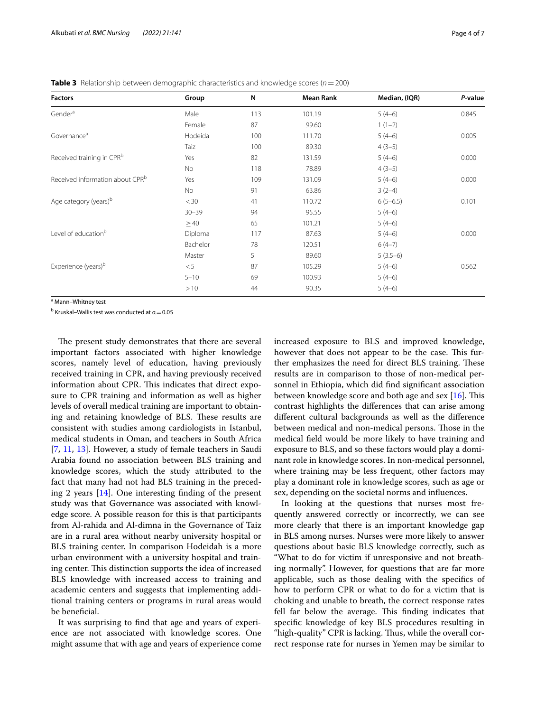| <b>Factors</b>                              | Group     | N   | <b>Mean Rank</b> | Median, (IQR) | P-value |
|---------------------------------------------|-----------|-----|------------------|---------------|---------|
| Gender <sup>a</sup>                         | Male      | 113 | 101.19           | $5(4-6)$      | 0.845   |
|                                             | Female    | 87  | 99.60            | $1(1-2)$      |         |
| Governance <sup>a</sup>                     | Hodeida   | 100 | 111.70           | $5(4-6)$      | 0.005   |
|                                             | Taiz      | 100 | 89.30            | $4(3-5)$      |         |
| Received training in CPR <sup>b</sup>       | Yes       | 82  | 131.59           | $5(4-6)$      | 0.000   |
|                                             | No        | 118 | 78.89            | $4(3-5)$      |         |
| Received information about CPR <sup>b</sup> | Yes       | 109 | 131.09           | $5(4-6)$      | 0.000   |
|                                             | No        | 91  | 63.86            | $3(2-4)$      |         |
| Age category (years) <sup>b</sup>           | $<$ 30    | 41  | 110.72           | $6(5-6.5)$    | 0.101   |
|                                             | $30 - 39$ | 94  | 95.55            | $5(4-6)$      |         |
|                                             | $\geq 40$ | 65  | 101.21           | $5(4-6)$      |         |
| Level of education <sup>b</sup>             | Diploma   | 117 | 87.63            | $5(4-6)$      | 0.000   |
|                                             | Bachelor  | 78  | 120.51           | $6(4-7)$      |         |
|                                             | Master    | 5   | 89.60            | $5(3.5-6)$    |         |
| Experience (years) <sup>b</sup>             | < 5       | 87  | 105.29           | $5(4-6)$      | 0.562   |
|                                             | $5 - 10$  | 69  | 100.93           | $5(4-6)$      |         |
|                                             | >10       | 44  | 90.35            | $5(4-6)$      |         |

<span id="page-3-0"></span>**Table 3** Relationship between demographic characteristics and knowledge scores (*n*=200)

<sup>a</sup> Mann-Whitney test

<sup>b</sup> Kruskal–Wallis test was conducted at  $\alpha$   $=$  0.05

The present study demonstrates that there are several important factors associated with higher knowledge scores, namely level of education, having previously received training in CPR, and having previously received information about CPR. This indicates that direct exposure to CPR training and information as well as higher levels of overall medical training are important to obtaining and retaining knowledge of BLS. These results are consistent with studies among cardiologists in Istanbul, medical students in Oman, and teachers in South Africa [[7,](#page-5-5) [11](#page-5-9), [13](#page-5-11)]. However, a study of female teachers in Saudi Arabia found no association between BLS training and knowledge scores, which the study attributed to the fact that many had not had BLS training in the preceding 2 years  $[14]$  $[14]$ . One interesting finding of the present study was that Governance was associated with knowledge score. A possible reason for this is that participants from Al-rahida and Al-dimna in the Governance of Taiz are in a rural area without nearby university hospital or BLS training center. In comparison Hodeidah is a more urban environment with a university hospital and training center. This distinction supports the idea of increased BLS knowledge with increased access to training and academic centers and suggests that implementing additional training centers or programs in rural areas would be beneficial.

It was surprising to fnd that age and years of experience are not associated with knowledge scores. One might assume that with age and years of experience come increased exposure to BLS and improved knowledge, however that does not appear to be the case. This further emphasizes the need for direct BLS training. These results are in comparison to those of non-medical personnel in Ethiopia, which did fnd signifcant association between knowledge score and both age and sex  $[16]$  $[16]$ . This contrast highlights the diferences that can arise among diferent cultural backgrounds as well as the diference between medical and non-medical persons. Those in the medical feld would be more likely to have training and exposure to BLS, and so these factors would play a dominant role in knowledge scores. In non-medical personnel, where training may be less frequent, other factors may play a dominant role in knowledge scores, such as age or sex, depending on the societal norms and infuences.

In looking at the questions that nurses most frequently answered correctly or incorrectly, we can see more clearly that there is an important knowledge gap in BLS among nurses. Nurses were more likely to answer questions about basic BLS knowledge correctly, such as "What to do for victim if unresponsive and not breathing normally". However, for questions that are far more applicable, such as those dealing with the specifcs of how to perform CPR or what to do for a victim that is choking and unable to breath, the correct response rates fell far below the average. This finding indicates that specifc knowledge of key BLS procedures resulting in "high-quality" CPR is lacking. Thus, while the overall correct response rate for nurses in Yemen may be similar to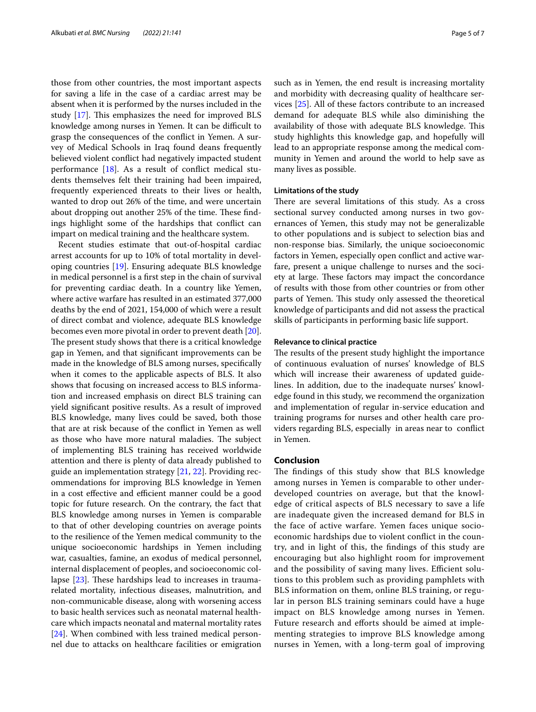those from other countries, the most important aspects for saving a life in the case of a cardiac arrest may be absent when it is performed by the nurses included in the study  $[17]$  $[17]$ . This emphasizes the need for improved BLS knowledge among nurses in Yemen. It can be difficult to grasp the consequences of the confict in Yemen. A survey of Medical Schools in Iraq found deans frequently believed violent confict had negatively impacted student performance [\[18\]](#page-6-0). As a result of confict medical students themselves felt their training had been impaired, frequently experienced threats to their lives or health, wanted to drop out 26% of the time, and were uncertain about dropping out another 25% of the time. These findings highlight some of the hardships that confict can impart on medical training and the healthcare system.

Recent studies estimate that out-of-hospital cardiac arrest accounts for up to 10% of total mortality in developing countries [[19\]](#page-6-1). Ensuring adequate BLS knowledge in medical personnel is a frst step in the chain of survival for preventing cardiac death. In a country like Yemen, where active warfare has resulted in an estimated 377,000 deaths by the end of 2021, 154,000 of which were a result of direct combat and violence, adequate BLS knowledge becomes even more pivotal in order to prevent death [\[20](#page-6-2)]. The present study shows that there is a critical knowledge gap in Yemen, and that signifcant improvements can be made in the knowledge of BLS among nurses, specifcally when it comes to the applicable aspects of BLS. It also shows that focusing on increased access to BLS information and increased emphasis on direct BLS training can yield signifcant positive results. As a result of improved BLS knowledge, many lives could be saved, both those that are at risk because of the confict in Yemen as well as those who have more natural maladies. The subject of implementing BLS training has received worldwide attention and there is plenty of data already published to guide an implementation strategy [[21,](#page-6-3) [22](#page-6-4)]. Providing recommendations for improving BLS knowledge in Yemen in a cost effective and efficient manner could be a good topic for future research. On the contrary, the fact that BLS knowledge among nurses in Yemen is comparable to that of other developing countries on average points to the resilience of the Yemen medical community to the unique socioeconomic hardships in Yemen including war, casualties, famine, an exodus of medical personnel, internal displacement of peoples, and socioeconomic collapse  $[23]$  $[23]$ . These hardships lead to increases in traumarelated mortality, infectious diseases, malnutrition, and non-communicable disease, along with worsening access to basic health services such as neonatal maternal healthcare which impacts neonatal and maternal mortality rates [[24\]](#page-6-6). When combined with less trained medical personnel due to attacks on healthcare facilities or emigration such as in Yemen, the end result is increasing mortality and morbidity with decreasing quality of healthcare services [[25\]](#page-6-7). All of these factors contribute to an increased demand for adequate BLS while also diminishing the availability of those with adequate BLS knowledge. This study highlights this knowledge gap, and hopefully will lead to an appropriate response among the medical community in Yemen and around the world to help save as many lives as possible.

#### **Limitations of the study**

There are several limitations of this study. As a cross sectional survey conducted among nurses in two governances of Yemen, this study may not be generalizable to other populations and is subject to selection bias and non-response bias. Similarly, the unique socioeconomic factors in Yemen, especially open confict and active warfare, present a unique challenge to nurses and the society at large. These factors may impact the concordance of results with those from other countries or from other parts of Yemen. This study only assessed the theoretical knowledge of participants and did not assess the practical skills of participants in performing basic life support.

### **Relevance to clinical practice**

The results of the present study highlight the importance of continuous evaluation of nurses' knowledge of BLS which will increase their awareness of updated guidelines. In addition, due to the inadequate nurses' knowledge found in this study, we recommend the organization and implementation of regular in-service education and training programs for nurses and other health care providers regarding BLS, especially in areas near to confict in Yemen.

## **Conclusion**

The findings of this study show that BLS knowledge among nurses in Yemen is comparable to other underdeveloped countries on average, but that the knowledge of critical aspects of BLS necessary to save a life are inadequate given the increased demand for BLS in the face of active warfare. Yemen faces unique socioeconomic hardships due to violent confict in the country, and in light of this, the fndings of this study are encouraging but also highlight room for improvement and the possibility of saving many lives. Efficient solutions to this problem such as providing pamphlets with BLS information on them, online BLS training, or regular in person BLS training seminars could have a huge impact on BLS knowledge among nurses in Yemen. Future research and efforts should be aimed at implementing strategies to improve BLS knowledge among nurses in Yemen, with a long-term goal of improving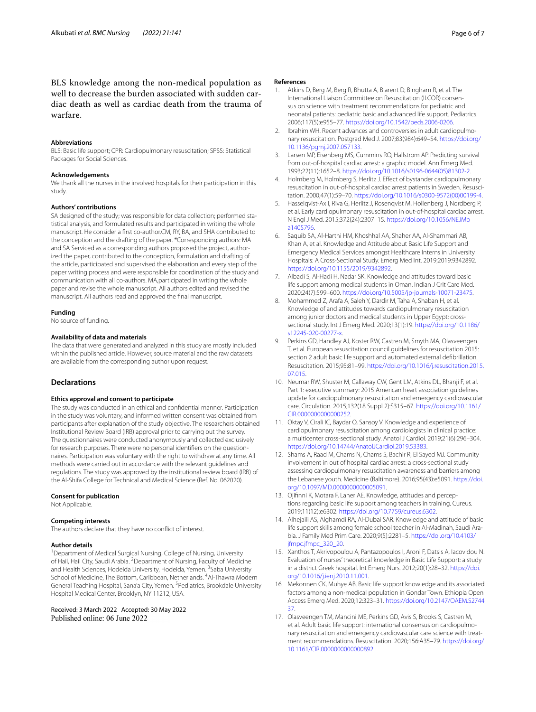BLS knowledge among the non-medical population as well to decrease the burden associated with sudden cardiac death as well as cardiac death from the trauma of warfare.

#### **Abbreviations**

BLS: Basic life support; CPR: Cardiopulmonary resuscitation; SPSS: Statistical Packages for Social Sciences.

#### **Acknowledgements**

We thank all the nurses in the involved hospitals for their participation in this study.

#### **Authors' contributions**

SA designed of the study; was responsible for data collection; performed statistical analysis, and formulated results and participated in writing the whole manuscript. He consider a frst co-author.CM, RY, BA, and SHA contributed to the conception and the drafting of the paper. \*Corresponding authors: MA and SA Serviced as a corresponding authors proposed the project, authorized the paper, contributed to the conception, formulation and drafting of the article, participated and supervised the elaboration and every step of the paper writing process and were responsible for coordination of the study and communication with all co-authors. MA,participated in writing the whole paper and revise the whole manuscript. All authors edited and revised the manuscript. All authors read and approved the fnal manuscript.

#### **Funding**

No source of funding.

#### **Availability of data and materials**

The data that were generated and analyzed in this study are mostly included within the published article. However, source material and the raw datasets are available from the corresponding author upon request.

## **Declarations**

#### **Ethics approval and consent to participate**

The study was conducted in an ethical and confdential manner. Participation in the study was voluntary, and informed written consent was obtained from participants after explanation of the study objective. The researchers obtained Institutional Review Board (IRB) approval prior to carrying out the survey. The questionnaires were conducted anonymously and collected exclusively for research purposes. There were no personal identifers on the questionnaires. Participation was voluntary with the right to withdraw at any time. All methods were carried out in accordance with the relevant guidelines and regulations. The study was approved by the institutional review board (IRB) of the Al-Shifa College for Technical and Medical Science (Ref. No. 062020).

#### **Consent for publication**

Not Applicable.

#### **Competing interests**

The authors declare that they have no confict of interest.

#### **Author details**

<sup>1</sup> Department of Medical Surgical Nursing, College of Nursing, University of Hail, Hail City, Saudi Arabia. <sup>2</sup> Department of Nursing, Faculty of Medicine and Health Sciences, Hodeida University, Hodeida, Yemen. <sup>3</sup>Saba University School of Medicine, The Bottom, Caribbean, Netherlands. <sup>4</sup>Al-Thawra Modern General Teaching Hospital, Sana'a City, Yemen. <sup>5</sup> Pediatrics, Brookdale University Hospital Medical Center, Brooklyn, NY 11212, USA.

Received: 3 March 2022 Accepted: 30 May 2022<br>Published online: 06 June 2022

#### **References**

- <span id="page-5-0"></span>1. Atkins D, Berg M, Berg R, Bhutta A, Biarent D, Bingham R, et al. The International Liaison Committee on Resuscitation (ILCOR) consensus on science with treatment recommendations for pediatric and neonatal patients: pediatric basic and advanced life support. Pediatrics. 2006;117(5):e955–77.<https://doi.org/10.1542/peds.2006-0206>.
- <span id="page-5-1"></span>2. Ibrahim WH. Recent advances and controversies in adult cardiopulmonary resuscitation. Postgrad Med J. 2007;83(984):649–54. [https://doi.org/](https://doi.org/10.1136/pgmj.2007.057133) [10.1136/pgmj.2007.057133.](https://doi.org/10.1136/pgmj.2007.057133)
- <span id="page-5-2"></span>3. Larsen MP, Eisenberg MS, Cummins RO, Hallstrom AP. Predicting survival from out-of-hospital cardiac arrest: a graphic model. Ann Emerg Med. 1993;22(11):1652–8. [https://doi.org/10.1016/s0196-0644\(05\)81302-2](https://doi.org/10.1016/s0196-0644(05)81302-2).
- 4. Holmberg M, Holmberg S, Herlitz J. Efect of bystander cardiopulmonary resuscitation in out-of-hospital cardiac arrest patients in Sweden. Resuscitation. 2000;47(1):59–70. [https://doi.org/10.1016/s0300-9572\(00\)00199-4](https://doi.org/10.1016/s0300-9572(00)00199-4).
- <span id="page-5-3"></span>5. Hasselqvist-Ax I, Riva G, Herlitz J, Rosenqvist M, Hollenberg J, Nordberg P, et al. Early cardiopulmonary resuscitation in out-of-hospital cardiac arrest. N Engl J Med. 2015;372(24):2307–15. [https://doi.org/10.1056/NEJMo](https://doi.org/10.1056/NEJMoa1405796) [a1405796.](https://doi.org/10.1056/NEJMoa1405796)
- <span id="page-5-4"></span>6. Saquib SA, Al-Harthi HM, Khoshhal AA, Shaher AA, Al-Shammari AB, Khan A, et al. Knowledge and Attitude about Basic Life Support and Emergency Medical Services amongst Healthcare Interns in University Hospitals: A Cross-Sectional Study. Emerg Med Int. 2019;2019:9342892. <https://doi.org/10.1155/2019/9342892>.
- <span id="page-5-5"></span>7. Albadi S, Al-Hadi H, Nadar SK. Knowledge and attitudes toward basic life support among medical students in Oman. Indian J Crit Care Med. 2020;24(7):599–600. <https://doi.org/10.5005/jp-journals-10071-23475>.
- <span id="page-5-6"></span>8. Mohammed Z, Arafa A, Saleh Y, Dardir M, Taha A, Shaban H, et al. Knowledge of and attitudes towards cardiopulmonary resuscitation among junior doctors and medical students in Upper Egypt: crosssectional study. Int J Emerg Med. 2020;13(1):19. [https://doi.org/10.1186/](https://doi.org/10.1186/s12245-020-00277-x) [s12245-020-00277-x](https://doi.org/10.1186/s12245-020-00277-x).
- <span id="page-5-7"></span>9. Perkins GD, Handley AJ, Koster RW, Castren M, Smyth MA, Olasveengen T, et al. European resuscitation council guidelines for resuscitation 2015: section 2 adult basic life support and automated external defbrillation. Resuscitation. 2015;95:81–99. [https://doi.org/10.1016/j.resuscitation.2015.](https://doi.org/10.1016/j.resuscitation.2015.07.015) [07.015](https://doi.org/10.1016/j.resuscitation.2015.07.015).
- <span id="page-5-8"></span>10. Neumar RW, Shuster M, Callaway CW, Gent LM, Atkins DL, Bhanji F, et al. Part 1: executive summary: 2015 American heart association guidelines update for cardiopulmonary resuscitation and emergency cardiovascular care. Circulation. 2015;132(18 Suppl 2):S315–67. [https://doi.org/10.1161/](https://doi.org/10.1161/CIR.0000000000000252) [CIR.0000000000000252](https://doi.org/10.1161/CIR.0000000000000252).
- <span id="page-5-9"></span>11. Oktay V, Cirali IC, Baydar O, Sansoy V. Knowledge and experience of cardiopulmonary resuscitation among cardiologists in clinical practice: a multicenter cross-sectional study. Anatol J Cardiol. 2019;21(6):296–304. [https://doi.org/10.14744/AnatolJCardiol.2019.53383.](https://doi.org/10.14744/AnatolJCardiol.2019.53383)
- <span id="page-5-10"></span>12. Shams A, Raad M, Chams N, Chams S, Bachir R, El Sayed MJ. Community involvement in out of hospital cardiac arrest: a cross-sectional study assessing cardiopulmonary resuscitation awareness and barriers among the Lebanese youth. Medicine (Baltimore). 2016;95(43):e5091. [https://doi.](https://doi.org/10.1097/MD.0000000000005091) [org/10.1097/MD.0000000000005091.](https://doi.org/10.1097/MD.0000000000005091)
- <span id="page-5-11"></span>13. Ojifnni K, Motara F, Laher AE. Knowledge, attitudes and perceptions regarding basic life support among teachers in training. Cureus. 2019;11(12):e6302. <https://doi.org/10.7759/cureus.6302>.
- <span id="page-5-12"></span>14. Alhejaili AS, Alghamdi RA, Al-Dubai SAR. Knowledge and attitude of basic life support skills among female school teacher in Al-Madinah, Saudi Arabia. J Family Med Prim Care. 2020;9(5):2281–5. [https://doi.org/10.4103/](https://doi.org/10.4103/jfmpc.jfmpc_320_20) [jfmpc.jfmpc\\_320\\_20](https://doi.org/10.4103/jfmpc.jfmpc_320_20).
- <span id="page-5-13"></span>15. Xanthos T, Akrivopoulou A, Pantazopoulos I, Aroni F, Datsis A, Iacovidou N. Evaluation of nurses' theoretical knowledge in Basic Life Support: a study in a district Greek hospital. Int Emerg Nurs. 2012;20(1):28–32. [https://doi.](https://doi.org/10.1016/j.ienj.2010.11.001) [org/10.1016/j.ienj.2010.11.001.](https://doi.org/10.1016/j.ienj.2010.11.001)
- <span id="page-5-14"></span>16. Mekonnen CK, Muhye AB. Basic life support knowledge and its associated factors among a non-medical population in Gondar Town. Ethiopia Open Access Emerg Med. 2020;12:323–31. [https://doi.org/10.2147/OAEM.S2744](https://doi.org/10.2147/OAEM.S274437) [37](https://doi.org/10.2147/OAEM.S274437).
- <span id="page-5-15"></span>17. Olasveengen TM, Mancini ME, Perkins GD, Avis S, Brooks S, Castren M, et al. Adult basic life support: international consensus on cardiopulmonary resuscitation and emergency cardiovascular care science with treatment recommendations. Resuscitation. 2020;156:A35–79. [https://doi.org/](https://doi.org/10.1161/CIR.0000000000000892) [10.1161/CIR.0000000000000892](https://doi.org/10.1161/CIR.0000000000000892).